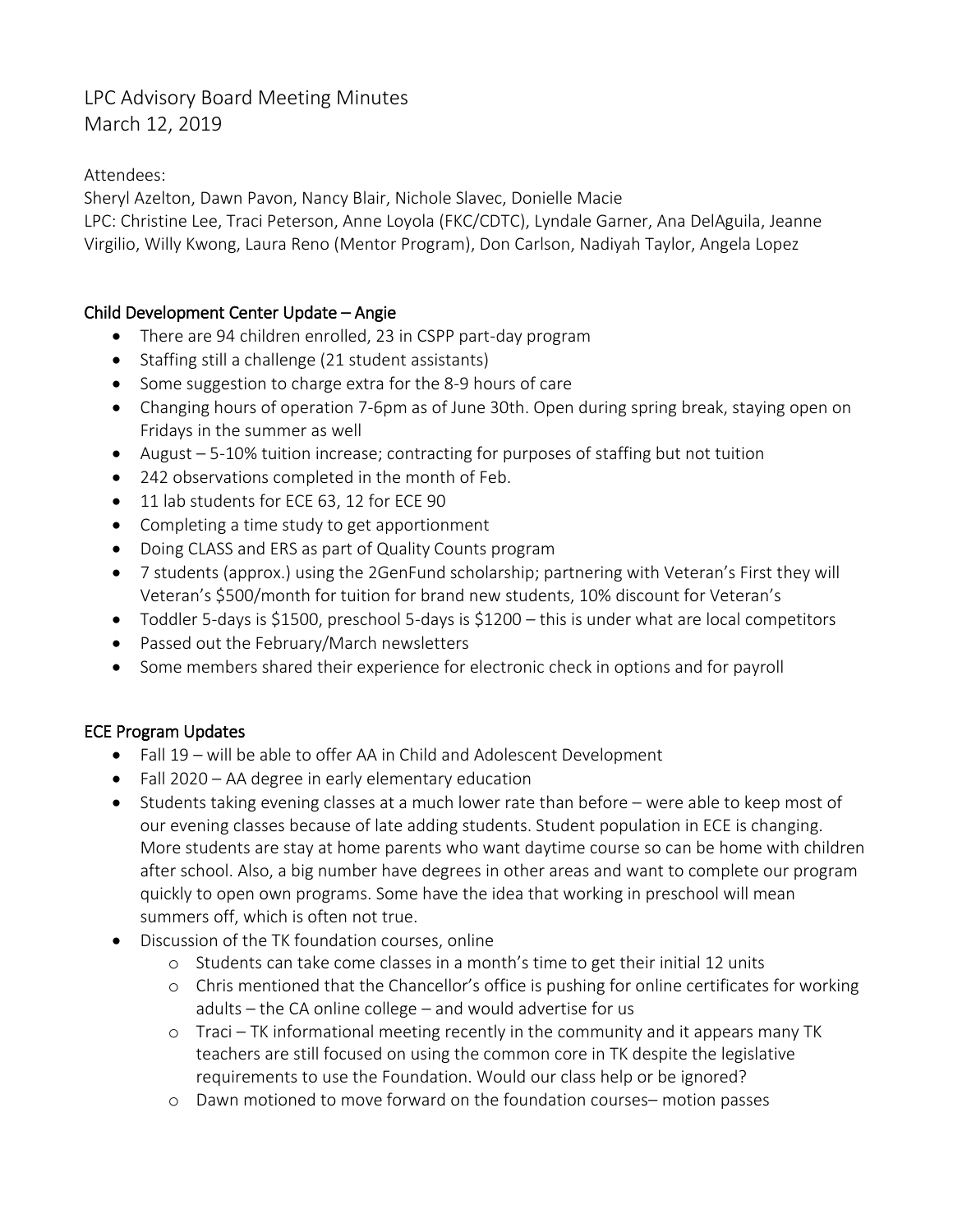# LPC Advisory Board Meeting Minutes March 12, 2019

# Attendees:

Sheryl Azelton, Dawn Pavon, Nancy Blair, Nichole Slavec, Donielle Macie

LPC: Christine Lee, Traci Peterson, Anne Loyola (FKC/CDTC), Lyndale Garner, Ana DelAguila, Jeanne Virgilio, Willy Kwong, Laura Reno (Mentor Program), Don Carlson, Nadiyah Taylor, Angela Lopez

## Child Development Center Update – Angie

- There are 94 children enrolled, 23 in CSPP part-day program
- Staffing still a challenge (21 student assistants)
- Some suggestion to charge extra for the 8-9 hours of care
- Changing hours of operation 7-6pm as of June 30th. Open during spring break, staying open on Fridays in the summer as well
- August 5-10% tuition increase; contracting for purposes of staffing but not tuition
- 242 observations completed in the month of Feb.
- 11 lab students for ECE 63, 12 for ECE 90
- Completing a time study to get apportionment
- Doing CLASS and ERS as part of Quality Counts program
- 7 students (approx.) using the 2GenFund scholarship; partnering with Veteran's First they will Veteran's \$500/month for tuition for brand new students, 10% discount for Veteran's
- Toddler 5-days is \$1500, preschool 5-days is \$1200 this is under what are local competitors
- Passed out the February/March newsletters
- Some members shared their experience for electronic check in options and for payroll

# ECE Program Updates

- Fall 19 will be able to offer AA in Child and Adolescent Development
- Fall 2020 AA degree in early elementary education
- Students taking evening classes at a much lower rate than before were able to keep most of our evening classes because of late adding students. Student population in ECE is changing. More students are stay at home parents who want daytime course so can be home with children after school. Also, a big number have degrees in other areas and want to complete our program quickly to open own programs. Some have the idea that working in preschool will mean summers off, which is often not true.
- Discussion of the TK foundation courses, online
	- $\circ$  Students can take come classes in a month's time to get their initial 12 units
	- o Chris mentioned that the Chancellor's office is pushing for online certificates for working adults – the CA online college – and would advertise for us
	- o Traci TK informational meeting recently in the community and it appears many TK teachers are still focused on using the common core in TK despite the legislative requirements to use the Foundation. Would our class help or be ignored?
	- o Dawn motioned to move forward on the foundation courses– motion passes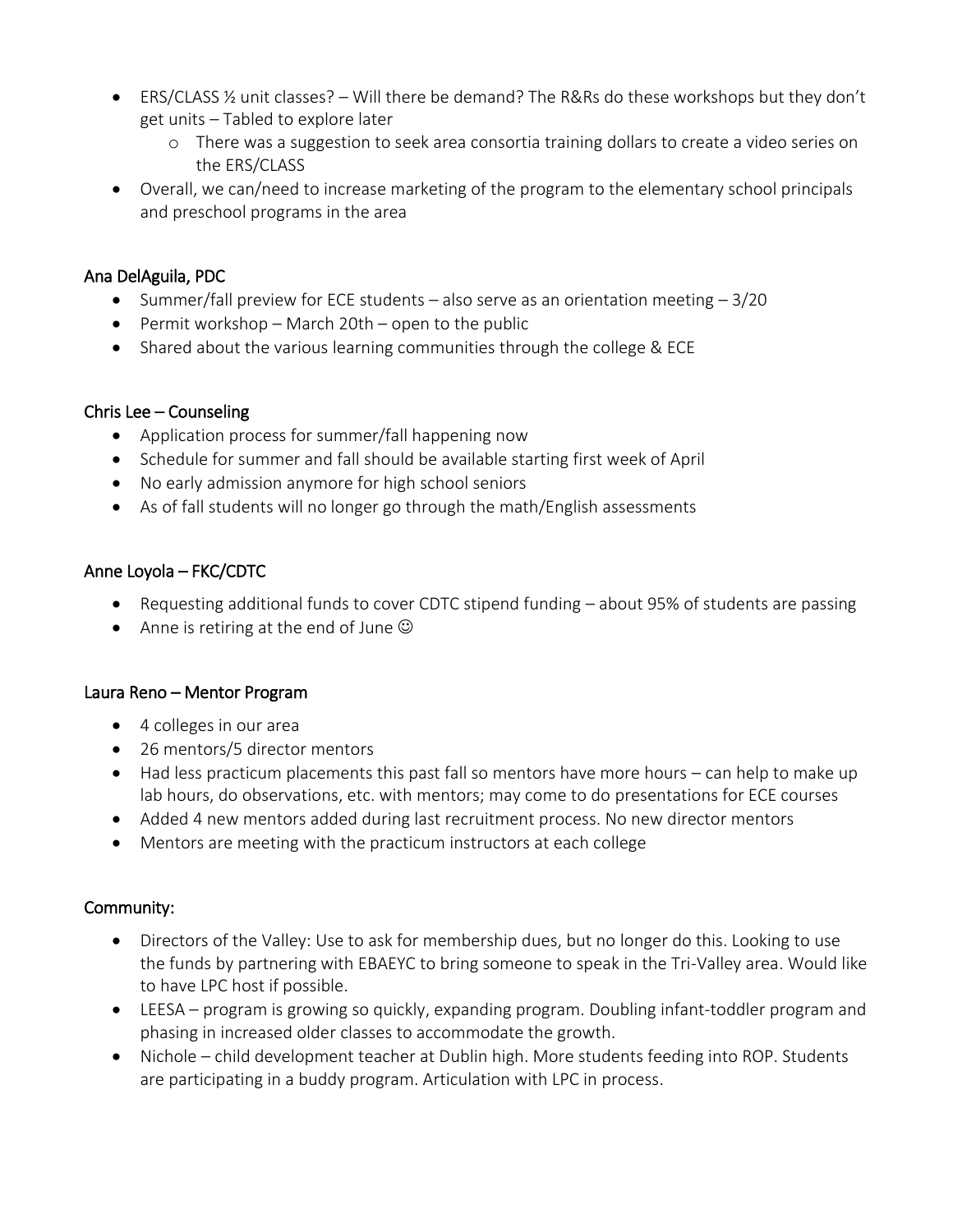- ERS/CLASS ½ unit classes? Will there be demand? The R&Rs do these workshops but they don't get units – Tabled to explore later
	- o There was a suggestion to seek area consortia training dollars to create a video series on the ERS/CLASS
- Overall, we can/need to increase marketing of the program to the elementary school principals and preschool programs in the area

## Ana DelAguila, PDC

- Summer/fall preview for ECE students also serve as an orientation meeting  $-3/20$
- **•** Permit workshop March 20th open to the public
- Shared about the various learning communities through the college & ECE

### Chris Lee – Counseling

- Application process for summer/fall happening now
- Schedule for summer and fall should be available starting first week of April
- No early admission anymore for high school seniors
- As of fall students will no longer go through the math/English assessments

## Anne Loyola – FKC/CDTC

- Requesting additional funds to cover CDTC stipend funding about 95% of students are passing
- Anne is retiring at the end of June  $\odot$

### Laura Reno – Mentor Program

- 4 colleges in our area
- 26 mentors/5 director mentors
- Had less practicum placements this past fall so mentors have more hours can help to make up lab hours, do observations, etc. with mentors; may come to do presentations for ECE courses
- Added 4 new mentors added during last recruitment process. No new director mentors
- Mentors are meeting with the practicum instructors at each college

### Community:

- Directors of the Valley: Use to ask for membership dues, but no longer do this. Looking to use the funds by partnering with EBAEYC to bring someone to speak in the Tri-Valley area. Would like to have LPC host if possible.
- LEESA program is growing so quickly, expanding program. Doubling infant-toddler program and phasing in increased older classes to accommodate the growth.
- Nichole child development teacher at Dublin high. More students feeding into ROP. Students are participating in a buddy program. Articulation with LPC in process.